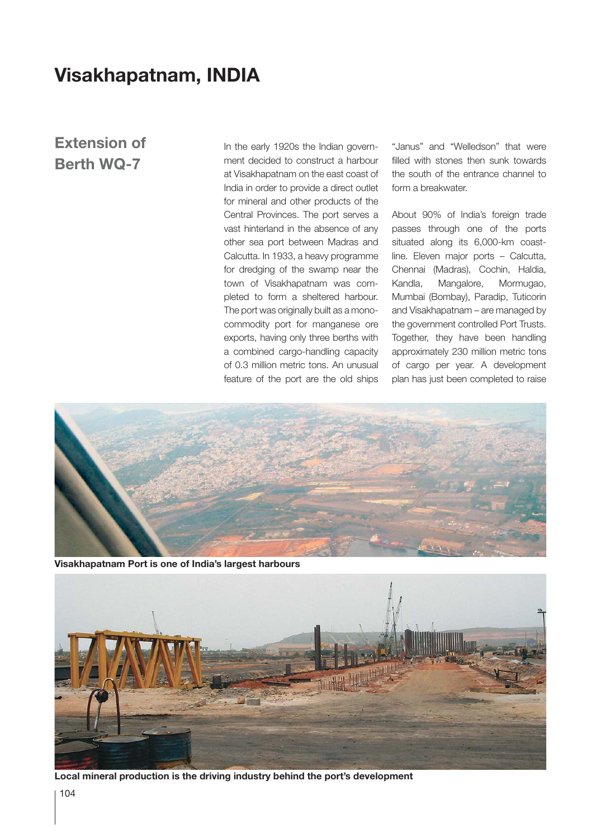## **Visakhapatnam, INDIA**

## **Extension of Berth WQ-7**

In the early 1920s the Indian government decided to construct a harbour at Visakhapatnam on the east coast of India in order to provide a direct outlet for mineral and other products of the Central Provinces. The port serves a vast hinterland in the absence of any other sea port between Madras and Calcutta. In 1933, a heavy programme for dredging of the swamp near the town of Visakhapatnam was completed to form a sheltered harbour. The port was originally built as a monocommodity port for manganese ore exports, having only three berths with a combined cargo-handling capacity of 0.3 million metric tons. An unusual feature of the port are the old ships

"Janus" and "Welledson" that were filled with stones then sunk towards the south of the entrance channel to form a breakwater.

About 90% of India's foreign trade passes through one of the ports situated along its 6,000-km coastline. Eleven major ports – Calcutta, Chennai (Madras), Cochin, Haldia, Kandla, Mangalore, Mormugao, Mumbai (Bombay), Paradip, Tuticorin and Visakhapatnam – are managed by the government controlled Port Trusts. Together, they have been handling approximately 230 million metric tons of cargo per year. A development plan has just been completed to raise



**Visakhapatnam Port is one of India's largest harbours**



**Local mineral production is the driving industry behind the port's development**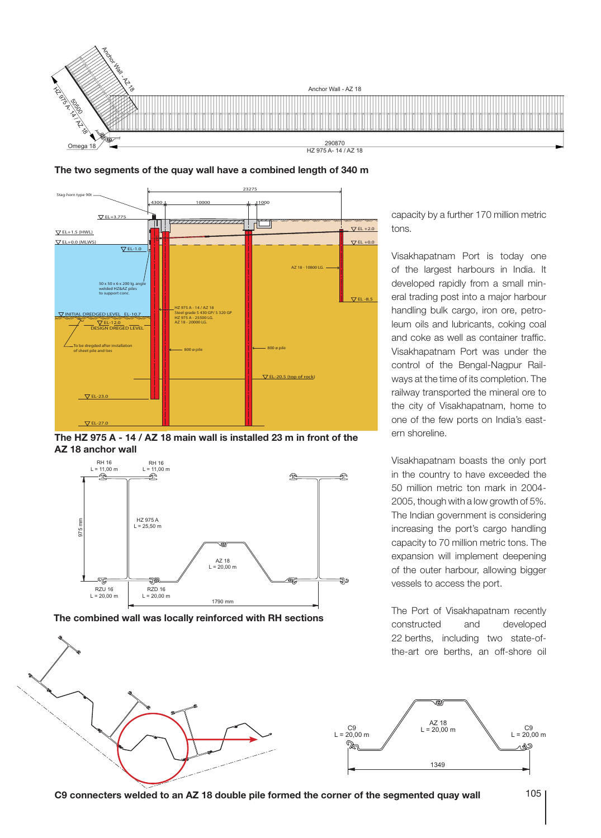





**The HZ 975 A - 14 / AZ 18 main wall is installed 23 m in front of the AZ 18 anchor wall**



**The combined wall was locally reinforced with RH sections**

capacity by a further 170 million metric tons.

Visakhapatnam Port is today one of the largest harbours in India. It developed rapidly from a small mineral trading post into a major harbour handling bulk cargo, iron ore, petroleum oils and lubricants, coking coal and coke as well as container traffic. Visakhapatnam Port was under the control of the Bengal-Nagpur Railways at the time of its completion. The railway transported the mineral ore to the city of Visakhapatnam, home to one of the few ports on India's eastern shoreline.

Visakhapatnam boasts the only port in the country to have exceeded the 50 million metric ton mark in 2004- 2005, though with a low growth of 5%. The Indian government is considering increasing the port's cargo handling capacity to 70 million metric tons. The expansion will implement deepening of the outer harbour, allowing bigger vessels to access the port.

The Port of Visakhapatnam recently constructed and developed 22 berths, including two state-ofthe-art ore berths, an off-shore oil

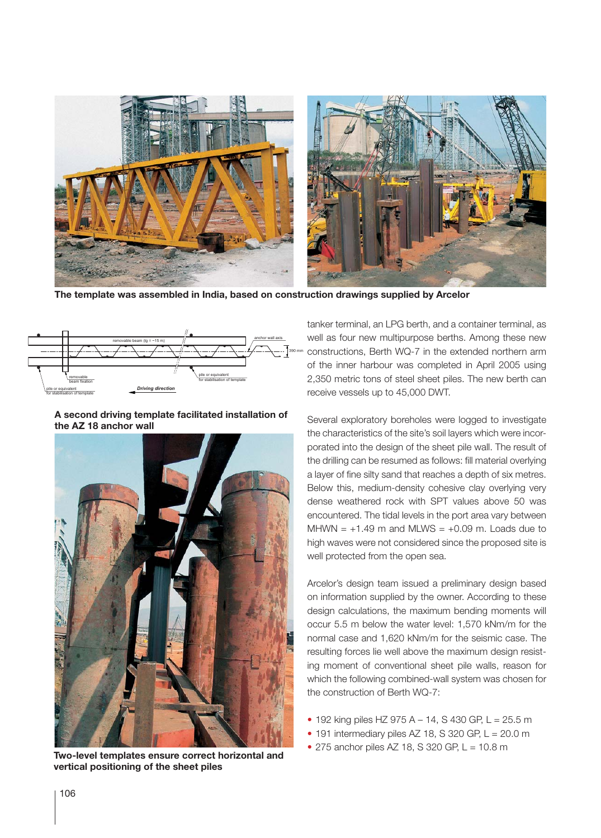

**The template was assembled in India, based on construction drawings supplied by Arcelor**



**A second driving template facilitated installation of the AZ 18 anchor wall**



**vertical positioning of the sheet piles**

tanker terminal, an LPG berth, and a container terminal, as well as four new multipurpose berths. Among these new constructions, Berth WQ-7 in the extended northern arm of the inner harbour was completed in April 2005 using 2,350 metric tons of steel sheet piles. The new berth can receive vessels up to 45,000 DWT.

Several exploratory boreholes were logged to investigate the characteristics of the site's soil layers which were incorporated into the design of the sheet pile wall. The result of the drilling can be resumed as follows: fill material overlying a layer of fine silty sand that reaches a depth of six metres. Below this, medium-density cohesive clay overlying very dense weathered rock with SPT values above 50 was encountered. The tidal levels in the port area vary between MHWN =  $+1.49$  m and MLWS =  $+0.09$  m. Loads due to high waves were not considered since the proposed site is well protected from the open sea.

Arcelor's design team issued a preliminary design based on information supplied by the owner. According to these design calculations, the maximum bending moments will occur 5.5 m below the water level: 1,570 kNm/m for the normal case and 1,620 kNm/m for the seismic case. The resulting forces lie well above the maximum design resisting moment of conventional sheet pile walls, reason for which the following combined-wall system was chosen for the construction of Berth WQ-7:

- 192 king piles HZ 975 A 14, S 430 GP, L =  $25.5$  m
- $\bullet$  191 intermediary piles AZ 18, S 320 GP, L = 20.0 m
- 275 anchor piles AZ 18, S 320 GP, L = 10.8 m **Two-level templates ensure correct horizontal and**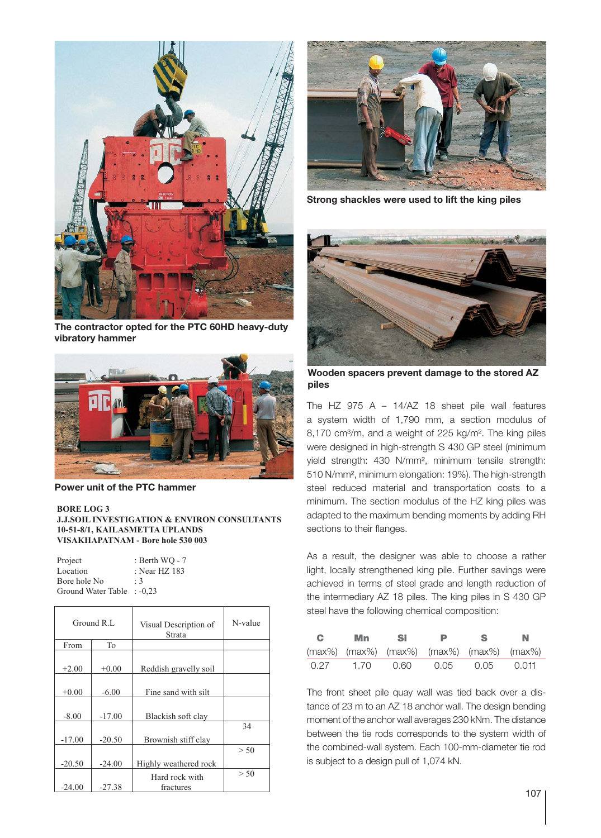

**The contractor opted for the PTC 60HD heavy-duty vibratory hammer**



**Power unit of the PTC hammer**

## **BORE LOG 3**

## **J.J.SOIL INVESTIGATION & ENVIRON CONSULTANTS 10-51-8/1, KAILASMETTA UPLANDS VISAKHAPATNAM - Bore hole 530 003**

| Project                    | : Berth WO - 7 |
|----------------------------|----------------|
| Location                   | : Near HZ 183  |
| Bore hole No               | $\cdot$ 3      |
| Ground Water Table : -0,23 |                |

| Ground R.L |          | Visual Description of<br>Strata | N-value |
|------------|----------|---------------------------------|---------|
| From       | To       |                                 |         |
| $+2.00$    | $+0.00$  | Reddish gravelly soil           |         |
| $+0.00$    | $-6.00$  | Fine sand with silt             |         |
| $-8.00$    | $-17.00$ | Blackish soft clay              |         |
|            |          |                                 | 34      |
| $-17.00$   | $-20.50$ | Brownish stiff clay             |         |
|            |          |                                 | > 50    |
| $-20.50$   | $-24.00$ | Highly weathered rock           |         |
|            | $-27.38$ | Hard rock with                  | > 50    |
| $-24.00$   |          | fractures                       |         |



**Strong shackles were used to lift the king piles**



**Wooden spacers prevent damage to the stored AZ piles**

The HZ 975 A – 14/AZ 18 sheet pile wall features a system width of 1,790 mm, a section modulus of 8,170 cm<sup>3</sup>/m, and a weight of 225 kg/m<sup>2</sup>. The king piles were designed in high-strength S 430 GP steel (minimum yield strength: 430 N/mm², minimum tensile strength: 510 N/mm², minimum elongation: 19%). The high-strength steel reduced material and transportation costs to a minimum. The section modulus of the HZ king piles was adapted to the maximum bending moments by adding RH sections to their flanges.

As a result, the designer was able to choose a rather light, locally strengthened king pile. Further savings were achieved in terms of steel grade and length reduction of the intermediary AZ 18 piles. The king piles in S 430 GP steel have the following chemical composition:

| C.   | Mn Si |                                              | Ð    | S.   | N     |
|------|-------|----------------------------------------------|------|------|-------|
|      |       | $(max\%)$ (max%) (max%) (max%) (max%) (max%) |      |      |       |
| 0.27 | 1.70  | 0.60                                         | 0.05 | 0.05 | 0.011 |

The front sheet pile quay wall was tied back over a distance of 23 m to an AZ 18 anchor wall. The design bending moment of the anchor wall averages 230 kNm. The distance between the tie rods corresponds to the system width of the combined-wall system. Each 100-mm-diameter tie rod is subject to a design pull of 1,074 kN.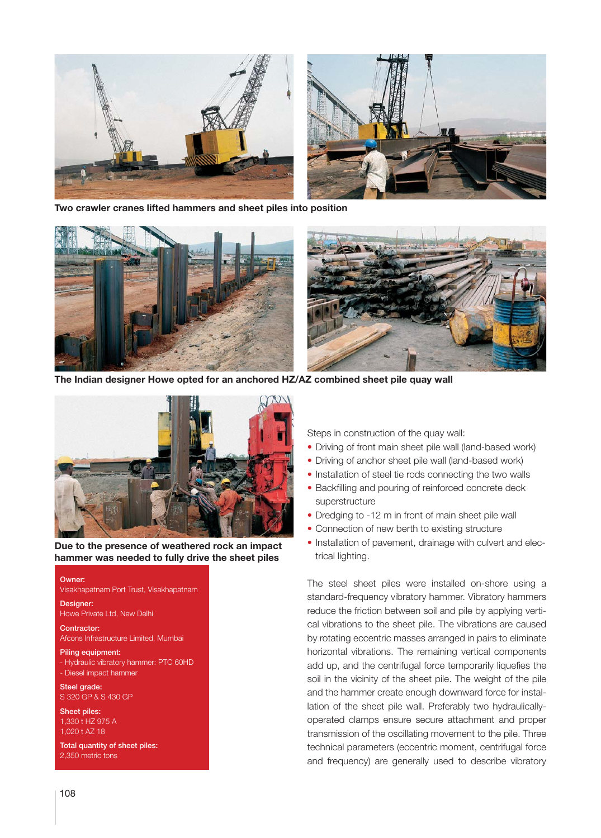

**Two crawler cranes lifted hammers and sheet piles into position**



**The Indian designer Howe opted for an anchored HZ/AZ combined sheet pile quay wall**



**Due to the presence of weathered rock an impact hammer was needed to fully drive the sheet piles**

Owner:

Visakhapatnam Port Trust, Visakhapatnam

Designer: Howe Private Ltd, New Delhi

Contractor: Afcons Infrastructure Limited, Mumbai

Piling equipment: - Hydraulic vibratory hammer: PTC 60HD - Diesel impact hammer

Steel grade: S 320 GP & S 430 GP

Sheet piles: 1,330 t HZ 975 A 1,020 t AZ 18

Total quantity of sheet piles: 2,350 metric tons

Steps in construction of the quay wall:

- Driving of front main sheet pile wall (land-based work)
- Driving of anchor sheet pile wall (land-based work)
- Installation of steel tie rods connecting the two walls
- Backfilling and pouring of reinforced concrete deck superstructure
- Dredging to -12 m in front of main sheet pile wall
- Connection of new berth to existing structure
- Installation of pavement, drainage with culvert and electrical lighting.

The steel sheet piles were installed on-shore using a standard-frequency vibratory hammer. Vibratory hammers reduce the friction between soil and pile by applying vertical vibrations to the sheet pile. The vibrations are caused by rotating eccentric masses arranged in pairs to eliminate horizontal vibrations. The remaining vertical components add up, and the centrifugal force temporarily liquefies the soil in the vicinity of the sheet pile. The weight of the pile and the hammer create enough downward force for installation of the sheet pile wall. Preferably two hydraulicallyoperated clamps ensure secure attachment and proper transmission of the oscillating movement to the pile. Three technical parameters (eccentric moment, centrifugal force and frequency) are generally used to describe vibratory